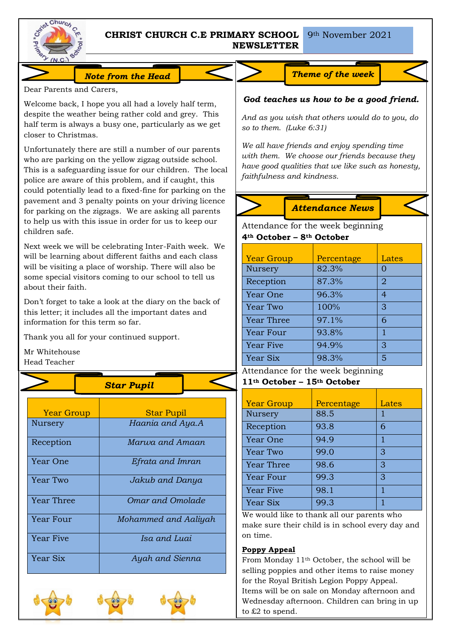

# **CHRIST CHURCH C.E PRIMARY SCHOOL NEWSLETTER**

### *Note from the Head Theme of the week*

Dear Parents and Carers,

Welcome back, I hope you all had a lovely half term, despite the weather being rather cold and grey. This half term is always a busy one, particularly as we get closer to Christmas.

Unfortunately there are still a number of our parents who are parking on the yellow zigzag outside school. This is a safeguarding issue for our children. The local police are aware of this problem, and if caught, this could potentially lead to a fixed-fine for parking on the pavement and 3 penalty points on your driving licence for parking on the zigzags. We are asking all parents to help us with this issue in order for us to keep our children safe.

Next week we will be celebrating Inter-Faith week. We will be learning about different faiths and each class will be visiting a place of worship. There will also be some special visitors coming to our school to tell us about their faith.

Don't forget to take a look at the diary on the back of this letter; it includes all the important dates and information for this term so far.

Thank you all for your continued support.

Mr Whitehouse Head Teacher

*Star Pupil*

| <b>Year Group</b> | <b>Star Pupil</b>    |
|-------------------|----------------------|
| Nursery           | Haania and Aya.A     |
| Reception         | Marwa and Amaan      |
| Year One          | Efrata and Imran     |
| Year Two          | Jakub and Danya      |
| Year Three        | Omar and Omolade     |
| Year Four         | Mohammed and Aaliyah |
| Year Five         | Isa and Luai         |
| Year Six          | Ayah and Sienna      |





# *God teaches us how to be a good friend.*

*And as you wish that others would do to you, do so to them. (Luke 6:31)*

*We all have friends and enjoy spending time with them. We choose our friends because they have good qualities that we like such as honesty, faithfulness and kindness.*



# *Attendance News*

Attendance for the week beginning **4th October – 8th October**

| <b>Year Group</b> | Percentage | Lates |
|-------------------|------------|-------|
| Nursery           | 82.3%      |       |
| Reception         | 87.3%      | 2     |
| Year One          | 96.3%      | 4     |
| Year Two          | 100%       | 3     |
| <b>Year Three</b> | 97.1%      | 6     |
| Year Four         | 93.8%      | 1     |
| <b>Year Five</b>  | 94.9%      | З     |
| Year Six          | 98.3%      | 5     |

#### Attendance for the week beginning **11th October – 15th October**

| <b>Year Group</b> | Percentage | Lates |
|-------------------|------------|-------|
| <b>Nursery</b>    | 88.5       |       |
| Reception         | 93.8       | 6     |
| Year One          | 94.9       |       |
| Year Two          | 99.0       | 3     |
| <b>Year Three</b> | 98.6       | 3     |
| Year Four         | 99.3       | 3     |
| <b>Year Five</b>  | 98.1       | 1     |
| Year Six          | 99.3       |       |

We would like to thank all our parents who make sure their child is in school every day and on time.

## **Poppy Appeal**

From Monday 11th October, the school will be selling poppies and other items to raise money for the Royal British Legion Poppy Appeal. Items will be on sale on Monday afternoon and Wednesday afternoon. Children can bring in up to £2 to spend.